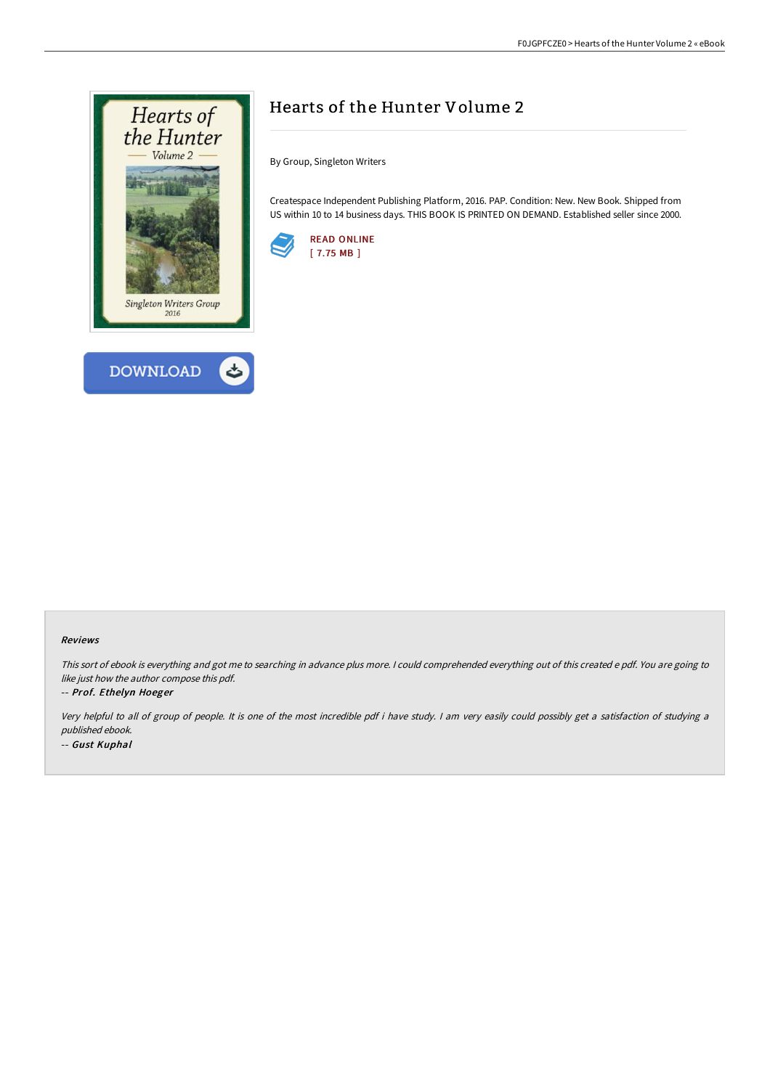



# Hearts of the Hunter Volume 2

By Group, Singleton Writers

Createspace Independent Publishing Platform, 2016. PAP. Condition: New. New Book. Shipped from US within 10 to 14 business days. THIS BOOK IS PRINTED ON DEMAND. Established seller since 2000.



#### Reviews

This sort of ebook is everything and got me to searching in advance plus more. <sup>I</sup> could comprehended everything out of this created <sup>e</sup> pdf. You are going to like just how the author compose this pdf.

#### -- Prof. Ethelyn Hoeger

Very helpful to all of group of people. It is one of the most incredible pdf i have study. <sup>I</sup> am very easily could possibly get <sup>a</sup> satisfaction of studying <sup>a</sup> published ebook. -- Gust Kuphal